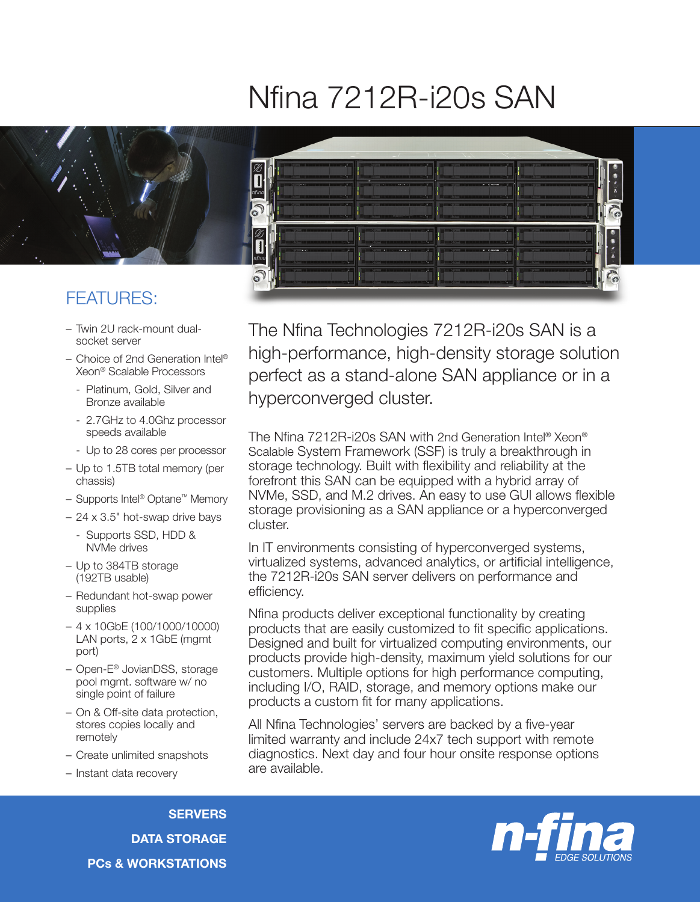## Nfina 7212R-i20s SAN



0

 $\delta$ 

0

ລີ

## FEATURES:

- Twin 2U rack-mount dualsocket server
- Choice of 2nd Generation Intel® Xeon® Scalable Processors
	- Platinum, Gold, Silver and Bronze available
	- 2.7GHz to 4.0Ghz processor speeds available
	- Up to 28 cores per processor
- Up to 1.5TB total memory (per chassis)
- Supports Intel® Optane™ Memory
- 24 x 3.5" hot-swap drive bays
	- Supports SSD, HDD & NVMe drives
- Up to 384TB storage (192TB usable)
- Redundant hot-swap power supplies
- 4 x 10GbE (100/1000/10000) LAN ports, 2 x 1GbE (mgmt port)
- Open-E® JovianDSS, storage pool mgmt. software w/ no single point of failure
- On & Off-site data protection, stores copies locally and remotely
- Create unlimited snapshots
- Instant data recovery

The Nfina Technologies 7212R-i20s SAN is a high-performance, high-density storage solution perfect as a stand-alone SAN appliance or in a hyperconverged cluster.

The Nfina 7212R-i20s SAN with 2nd Generation Intel® Xeon® Scalable System Framework (SSF) is truly a breakthrough in storage technology. Built with flexibility and reliability at the forefront this SAN can be equipped with a hybrid array of NVMe, SSD, and M.2 drives. An easy to use GUI allows flexible storage provisioning as a SAN appliance or a hyperconverged cluster.

In IT environments consisting of hyperconverged systems, virtualized systems, advanced analytics, or artificial intelligence, the 7212R-i20s SAN server delivers on performance and efficiency.

Nfina products deliver exceptional functionality by creating products that are easily customized to fit specific applications. Designed and built for virtualized computing environments, our products provide high-density, maximum yield solutions for our customers. Multiple options for high performance computing, including I/O, RAID, storage, and memory options make our products a custom fit for many applications.

All Nfina Technologies' servers are backed by a five-year limited warranty and include 24x7 tech support with remote diagnostics. Next day and four hour onsite response options are available.

**SERVERS** DATA STORAGE PCs & WORKSTATIONS



● ● ●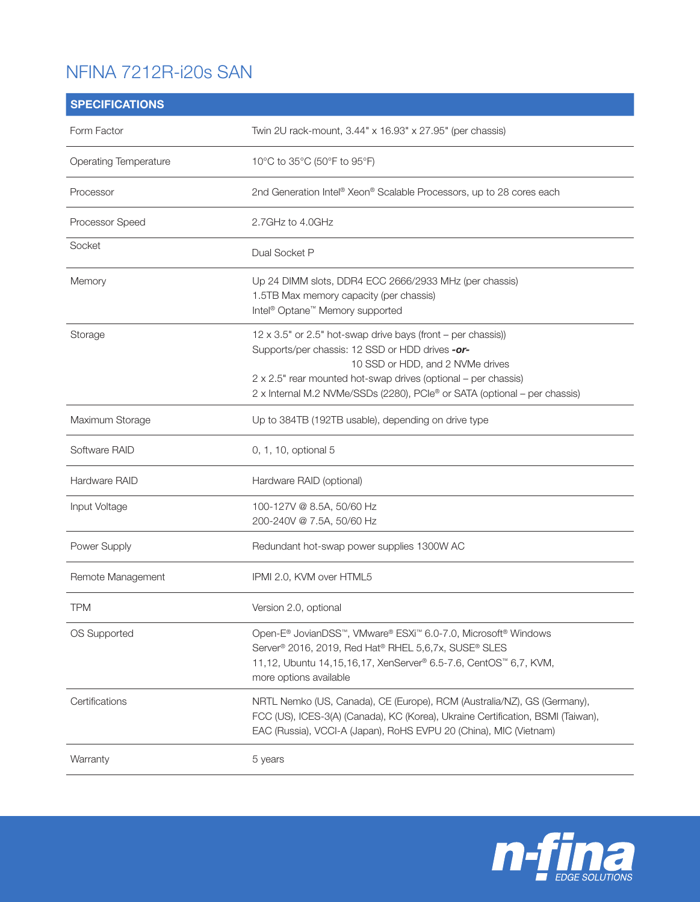## NFINA 7212R-i20s SAN

| <b>SPECIFICATIONS</b>        |                                                                                                                                                                                                                                                                                                    |
|------------------------------|----------------------------------------------------------------------------------------------------------------------------------------------------------------------------------------------------------------------------------------------------------------------------------------------------|
| Form Factor                  | Twin 2U rack-mount, 3.44" x 16.93" x 27.95" (per chassis)                                                                                                                                                                                                                                          |
| <b>Operating Temperature</b> | 10°C to 35°C (50°F to 95°F)                                                                                                                                                                                                                                                                        |
| Processor                    | 2nd Generation Intel® Xeon® Scalable Processors, up to 28 cores each                                                                                                                                                                                                                               |
| Processor Speed              | 2.7GHz to 4.0GHz                                                                                                                                                                                                                                                                                   |
| Socket                       | Dual Socket P                                                                                                                                                                                                                                                                                      |
| Memory                       | Up 24 DIMM slots, DDR4 ECC 2666/2933 MHz (per chassis)<br>1.5TB Max memory capacity (per chassis)<br>Intel <sup>®</sup> Optane <sup>™</sup> Memory supported                                                                                                                                       |
| Storage                      | 12 x 3.5" or 2.5" hot-swap drive bays (front - per chassis))<br>Supports/per chassis: 12 SSD or HDD drives -or-<br>10 SSD or HDD, and 2 NVMe drives<br>2 x 2.5" rear mounted hot-swap drives (optional – per chassis)<br>2 x Internal M.2 NVMe/SSDs (2280), PCIe® or SATA (optional - per chassis) |
| Maximum Storage              | Up to 384TB (192TB usable), depending on drive type                                                                                                                                                                                                                                                |
| Software RAID                | 0, 1, 10, optional 5                                                                                                                                                                                                                                                                               |
| Hardware RAID                | Hardware RAID (optional)                                                                                                                                                                                                                                                                           |
| Input Voltage                | 100-127V @ 8.5A, 50/60 Hz<br>200-240V @ 7.5A, 50/60 Hz                                                                                                                                                                                                                                             |
| Power Supply                 | Redundant hot-swap power supplies 1300W AC                                                                                                                                                                                                                                                         |
| Remote Management            | IPMI 2.0, KVM over HTML5                                                                                                                                                                                                                                                                           |
| <b>TPM</b>                   | Version 2.0, optional                                                                                                                                                                                                                                                                              |
| OS Supported                 | Open-E® JovianDSS™, VMware® ESXi™ 6.0-7.0, Microsoft® Windows<br>Server <sup>®</sup> 2016, 2019, Red Hat <sup>®</sup> RHEL 5,6,7x, SUSE® SLES<br>11,12, Ubuntu 14,15,16,17, XenServer® 6.5-7.6, CentOS™ 6,7, KVM,<br>more options available                                                        |
| Certifications               | NRTL Nemko (US, Canada), CE (Europe), RCM (Australia/NZ), GS (Germany),<br>FCC (US), ICES-3(A) (Canada), KC (Korea), Ukraine Certification, BSMI (Taiwan),<br>EAC (Russia), VCCI-A (Japan), RoHS EVPU 20 (China), MIC (Vietnam)                                                                    |
| Warranty                     | 5 years                                                                                                                                                                                                                                                                                            |